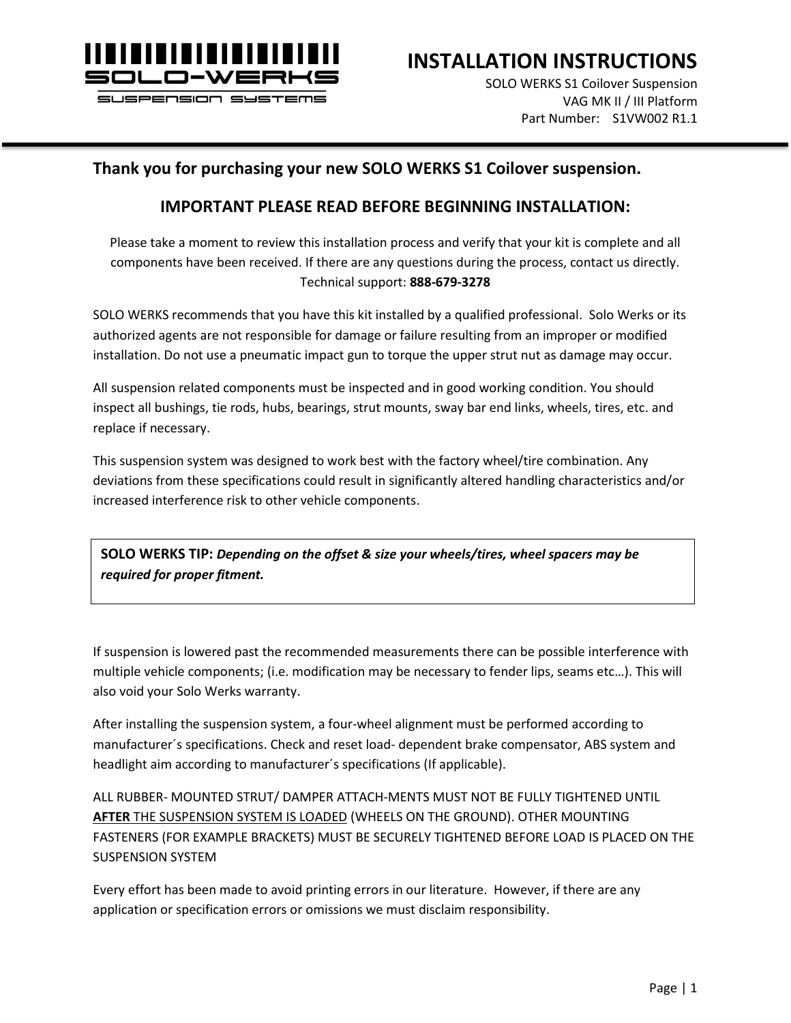

**INSTALLATION INSTRUCTIONS**

SOLO WERKS S1 Coilover Suspension VAG MK II / III Platform Part Number: S1VW002 R1.1

### **Thank you for purchasing your new SOLO WERKS S1 Coilover suspension.**

### **IMPORTANT PLEASE READ BEFORE BEGINNING INSTALLATION:**

Please take a moment to review this installation process and verify that your kit is complete and all components have been received. If there are any questions during the process, contact us directly. Technical support: **888-679-3278**

SOLO WERKS recommends that you have this kit installed by a qualified professional. Solo Werks or its authorized agents are not responsible for damage or failure resulting from an improper or modified installation. Do not use a pneumatic impact gun to torque the upper strut nut as damage may occur.

All suspension related components must be inspected and in good working condition. You should inspect all bushings, tie rods, hubs, bearings, strut mounts, sway bar end links, wheels, tires, etc. and replace if necessary.

This suspension system was designed to work best with the factory wheel/tire combination. Any deviations from these specifications could result in significantly altered handling characteristics and/or increased interference risk to other vehicle components.

**SOLO WERKS TIP:** *Depending on the offset & size your wheels/tires, wheel spacers may be required for proper fitment.*

If suspension is lowered past the recommended measurements there can be possible interference with multiple vehicle components; (i.e. modification may be necessary to fender lips, seams etc…). This will also void your Solo Werks warranty.

After installing the suspension system, a four-wheel alignment must be performed according to manufacturer´s specifications. Check and reset load- dependent brake compensator, ABS system and headlight aim according to manufacturer´s specifications (If applicable).

ALL RUBBER- MOUNTED STRUT/ DAMPER ATTACH-MENTS MUST NOT BE FULLY TIGHTENED UNTIL **AFTER** THE SUSPENSION SYSTEM IS LOADED (WHEELS ON THE GROUND). OTHER MOUNTING FASTENERS (FOR EXAMPLE BRACKETS) MUST BE SECURELY TIGHTENED BEFORE LOAD IS PLACED ON THE SUSPENSION SYSTEM

Every effort has been made to avoid printing errors in our literature. However, if there are any application or specification errors or omissions we must disclaim responsibility.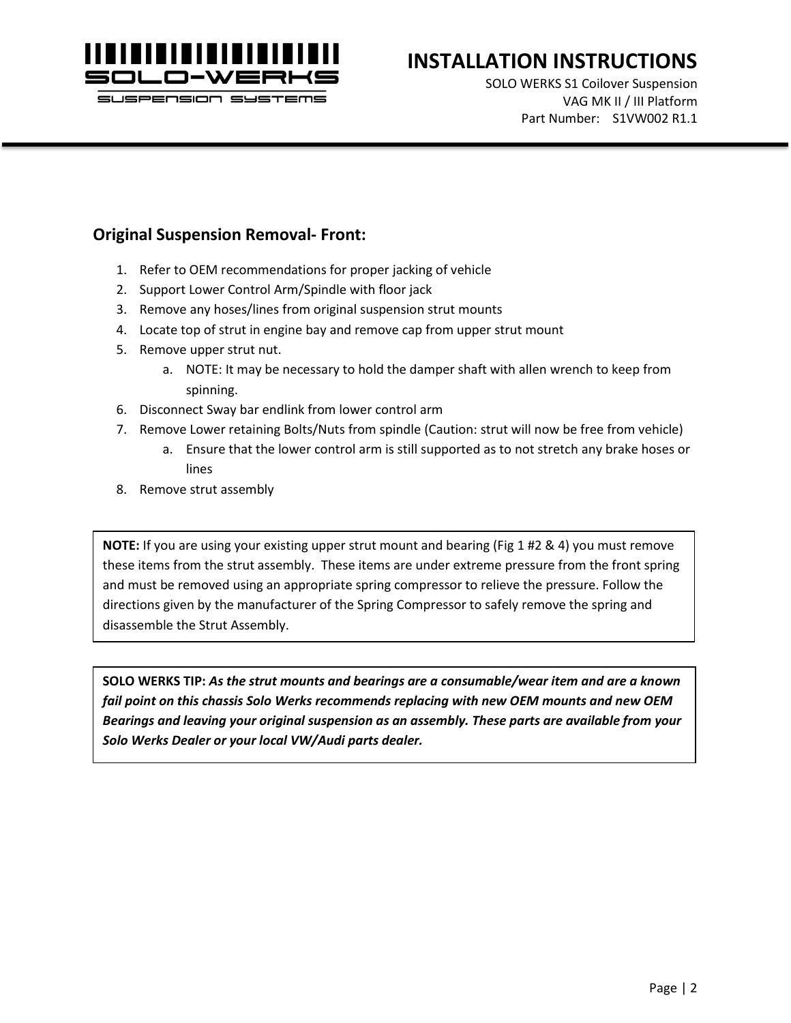

# **INSTALLATION INSTRUCTIONS**

SOLO WERKS S1 Coilover Suspension VAG MK II / III Platform Part Number: S1VW002 R1.1

## **Original Suspension Removal- Front:**

- 1. Refer to OEM recommendations for proper jacking of vehicle
- 2. Support Lower Control Arm/Spindle with floor jack
- 3. Remove any hoses/lines from original suspension strut mounts
- 4. Locate top of strut in engine bay and remove cap from upper strut mount
- 5. Remove upper strut nut.
	- a. NOTE: It may be necessary to hold the damper shaft with allen wrench to keep from spinning.
- 6. Disconnect Sway bar endlink from lower control arm
- 7. Remove Lower retaining Bolts/Nuts from spindle (Caution: strut will now be free from vehicle)
	- a. Ensure that the lower control arm is still supported as to not stretch any brake hoses or lines
- 8. Remove strut assembly

**NOTE:** If you are using your existing upper strut mount and bearing (Fig 1 #2 & 4) you must remove these items from the strut assembly. These items are under extreme pressure from the front spring and must be removed using an appropriate spring compressor to relieve the pressure. Follow the directions given by the manufacturer of the Spring Compressor to safely remove the spring and disassemble the Strut Assembly.

**SOLO WERKS TIP:** *As the strut mounts and bearings are a consumable/wear item and are a known fail point on this chassis Solo Werks recommends replacing with new OEM mounts and new OEM Bearings and leaving your original suspension as an assembly. These parts are available from your Solo Werks Dealer or your local VW/Audi parts dealer.*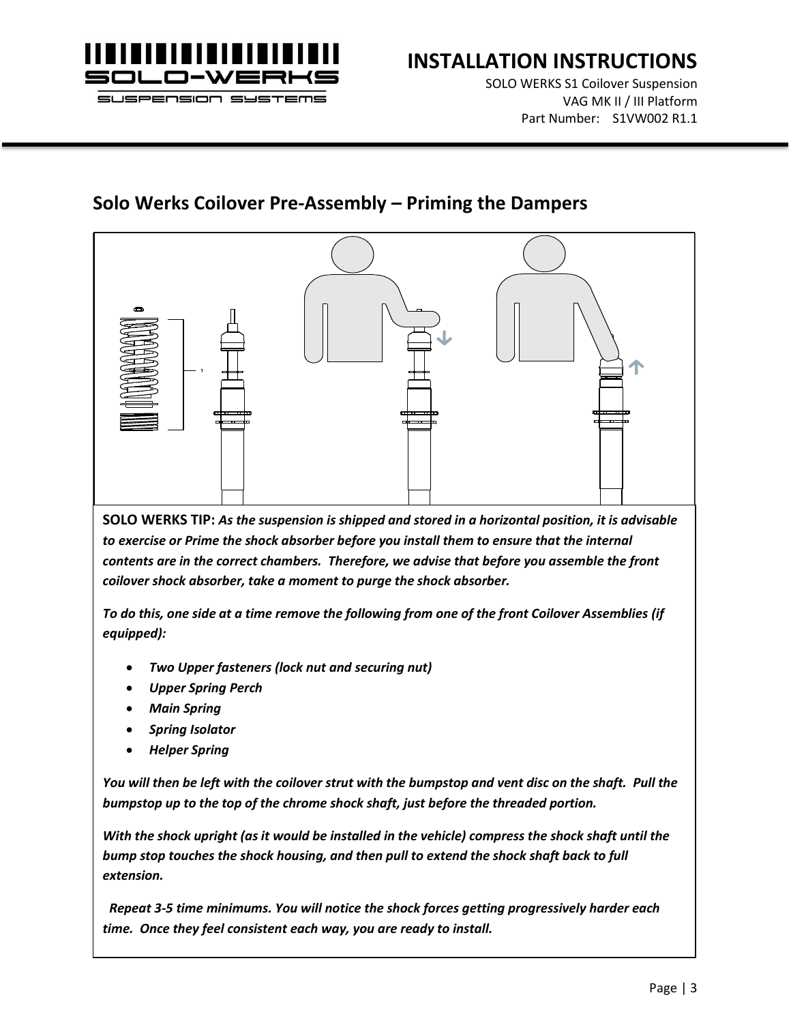

SOLO WERKS S1 Coilover Suspension VAG MK II / III Platform Part Number: S1VW002 R1.1

## **Solo Werks Coilover Pre-Assembly – Priming the Dampers**

**SOLO WERKS TIP:** *As the suspension is shipped and stored in a horizontal position, it is advisable to exercise or Prime the shock absorber before you install them to ensure that the internal contents are in the correct chambers. Therefore, we advise that before you assemble the front coilover shock absorber, take a moment to purge the shock absorber.* 

*To do this, one side at a time remove the following from one of the front Coilover Assemblies (if equipped):*

- *Two Upper fasteners (lock nut and securing nut)*
- *Upper Spring Perch*
- *Main Spring*
- *Spring Isolator*
- *Helper Spring*

*You will then be left with the coilover strut with the bumpstop and vent disc on the shaft. Pull the bumpstop up to the top of the chrome shock shaft, just before the threaded portion.* 

*With the shock upright (as it would be installed in the vehicle) compress the shock shaft until the bump stop touches the shock housing, and then pull to extend the shock shaft back to full extension.*

 *Repeat 3-5 time minimums. You will notice the shock forces getting progressively harder each time. Once they feel consistent each way, you are ready to install.*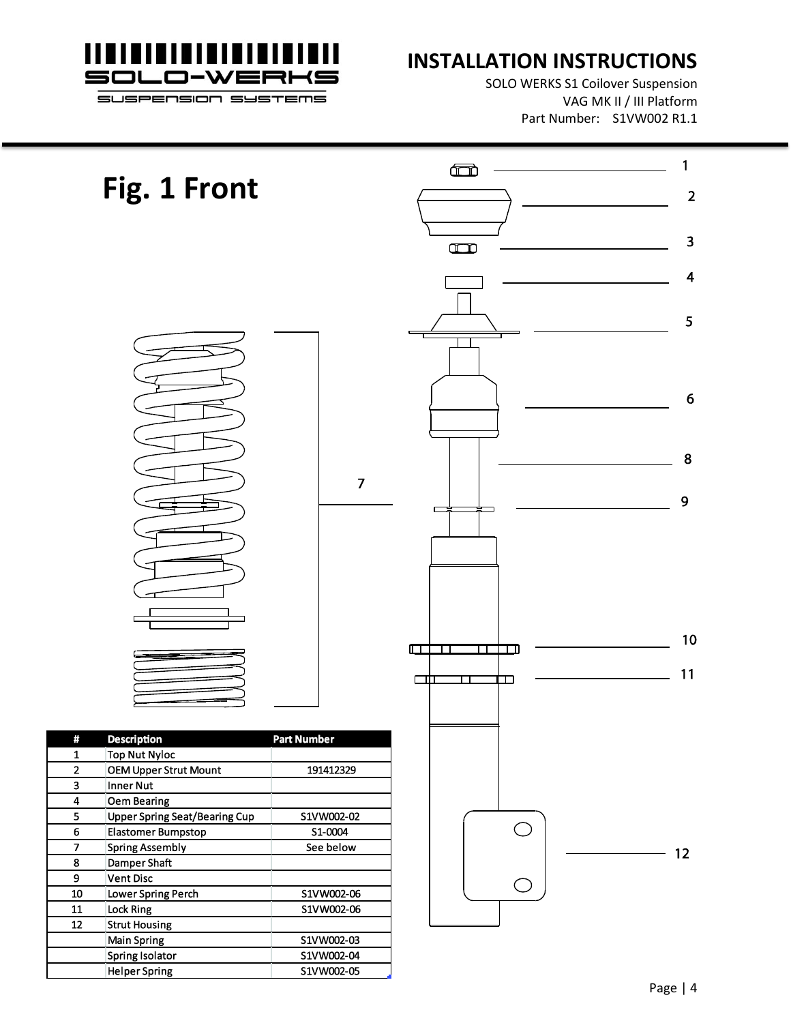

## **INSTALLATION INSTRUCTIONS**

SOLO WERKS S1 Coilover Suspension VAG MK II / III Platform Part Number: S1VW002 R1.1

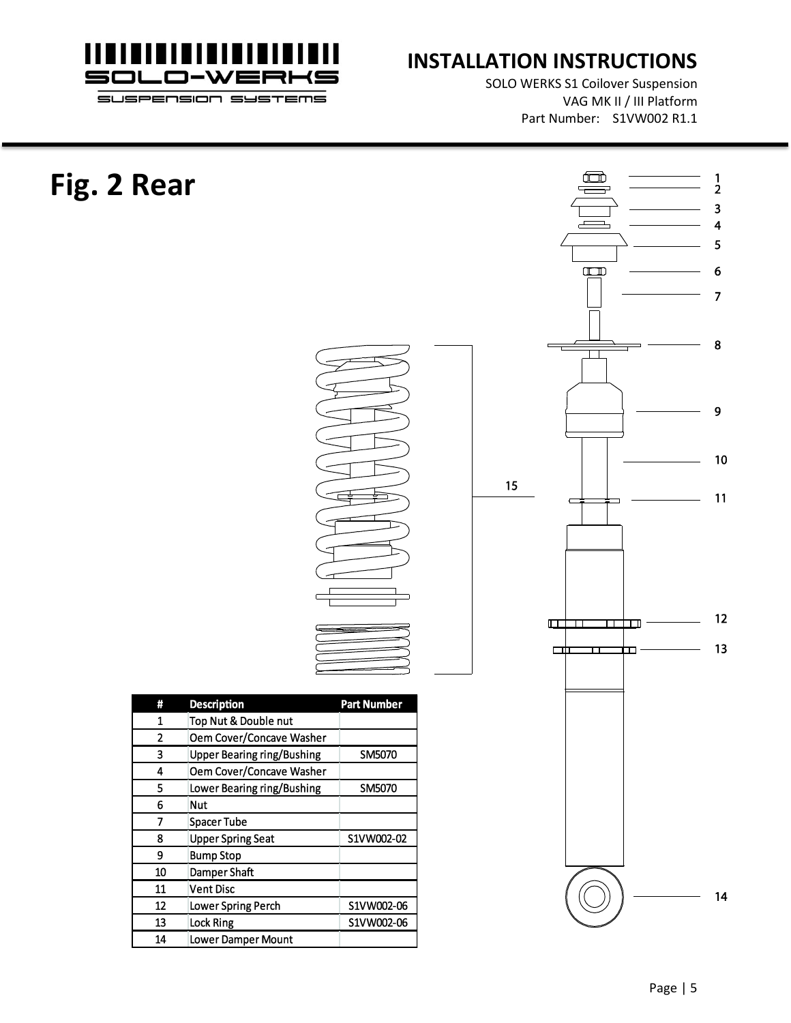

SOLO WERKS S1 Coilover Suspension VAG MK II / III Platform Part Number: S1VW002 R1.1

> $\frac{1}{2}$  $\overline{\mathbf{3}}$  $\overline{\mathbf{4}}$ 5

> $\boldsymbol{6}$

 $\overline{7}$ 

8

9

 $10$ 

11

 $12$ 

 $13$ 

 $14$ 

### **Fig. 2 Rear** $\Box$  $\Box$ 15 C  $\overline{\phantom{0}}$ adan  $\overline{\text{min}}$  : 一 ᢘ # **Description Part Number**  $\mathbf{1}$ Top Nut & Double nut  $\overline{2}$ Oem Cover/Concave Washer  $\overline{\mathbf{3}}$ **Upper Bearing ring/Bushing** SM5070 4 Oem Cover/Concave Washer  $5<sup>1</sup>$ Lower Bearing ring/Bushing SM5070  $6\phantom{a}$ **Nut**  $\overline{7}$ **Spacer Tube** 8 **Upper Spring Seat** S1VW002-02  $\boldsymbol{9}$ **Bump Stop** 10 Damper Shaft  $11$ **Vent Disc**  $\overline{12}$ **Lower Spring Perch** S1VW002-06 13 **Lock Ring** S1VW002-06  $14$ Lower Damper Mount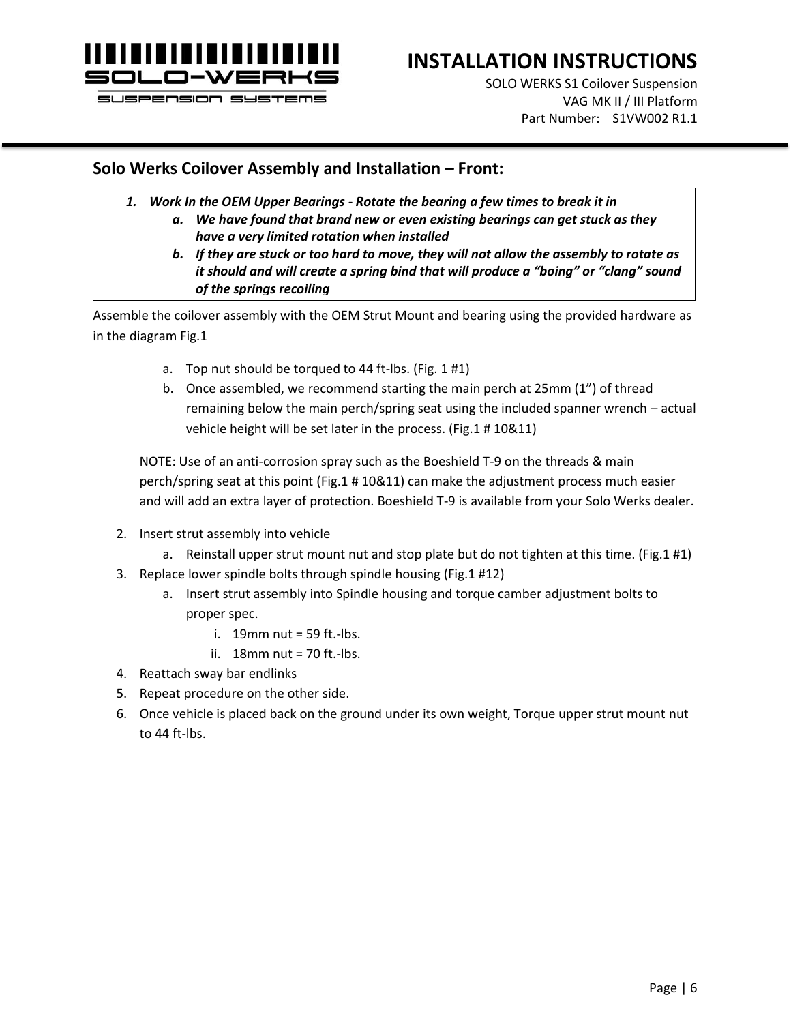

## **INSTALLATION INSTRUCTIONS**

SOLO WERKS S1 Coilover Suspension VAG MK II / III Platform Part Number: S1VW002 R1.1

### **Solo Werks Coilover Assembly and Installation – Front:**

- *1. Work In the OEM Upper Bearings - Rotate the bearing a few times to break it in*
	- *a. We have found that brand new or even existing bearings can get stuck as they have a very limited rotation when installed*
	- *b. If they are stuck or too hard to move, they will not allow the assembly to rotate as it should and will create a spring bind that will produce a "boing" or "clang" sound of the springs recoiling*

Assemble the coilover assembly with the OEM Strut Mount and bearing using the provided hardware as in the diagram Fig.1

- a. Top nut should be torqued to 44 ft-lbs. (Fig. 1 #1)
- b. Once assembled, we recommend starting the main perch at 25mm (1") of thread remaining below the main perch/spring seat using the included spanner wrench – actual vehicle height will be set later in the process. (Fig.1 # 10&11)

NOTE: Use of an anti-corrosion spray such as the Boeshield T-9 on the threads & main perch/spring seat at this point (Fig.1 # 10&11) can make the adjustment process much easier and will add an extra layer of protection. Boeshield T-9 is available from your Solo Werks dealer.

- 2. Insert strut assembly into vehicle
	- a. Reinstall upper strut mount nut and stop plate but do not tighten at this time. (Fig.1 #1)
- 3. Replace lower spindle bolts through spindle housing (Fig.1 #12)
	- a. Insert strut assembly into Spindle housing and torque camber adjustment bolts to proper spec.
		- i.  $19$ mm nut = 59 ft.-lbs.
		- ii. 18mm nut = 70 ft.-lbs.
- 4. Reattach sway bar endlinks
- 5. Repeat procedure on the other side.
- 6. Once vehicle is placed back on the ground under its own weight, Torque upper strut mount nut to 44 ft-lbs.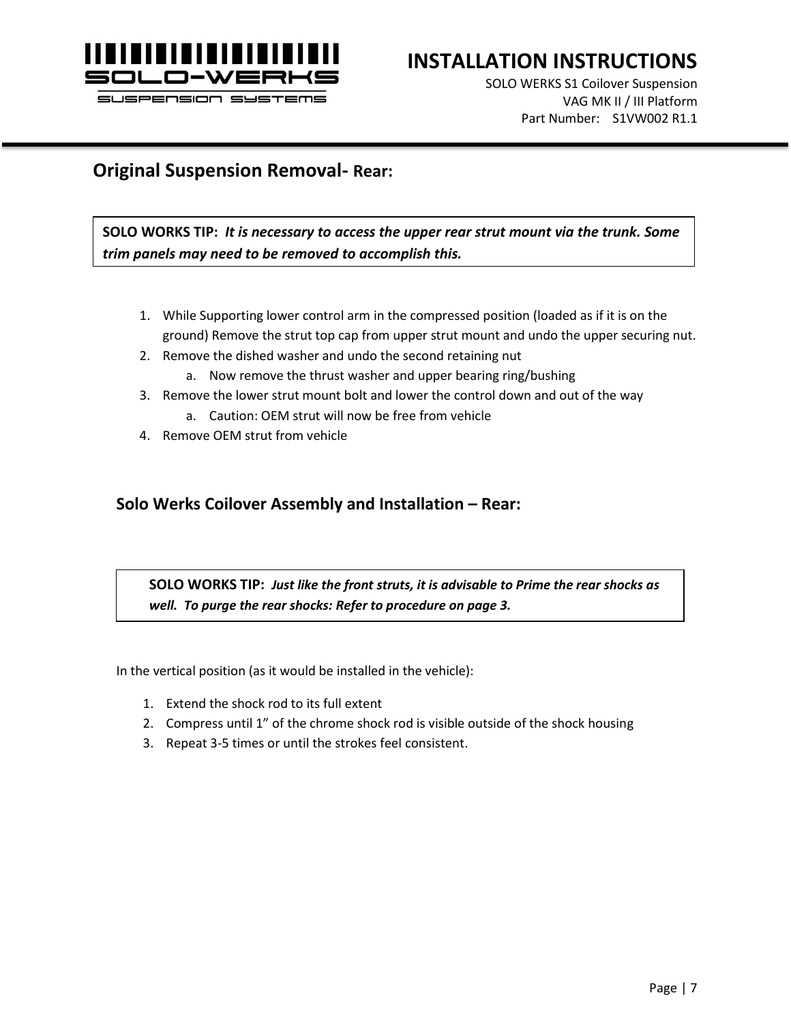

SOLO WERKS S1 Coilover Suspension VAG MK II / III Platform Part Number: S1VW002 R1.1

## **Original Suspension Removal- Rear:**

**SOLO WORKS TIP:** *It is necessary to access the upper rear strut mount via the trunk. Some trim panels may need to be removed to accomplish this.*

- 1. While Supporting lower control arm in the compressed position (loaded as if it is on the ground) Remove the strut top cap from upper strut mount and undo the upper securing nut.
- 2. Remove the dished washer and undo the second retaining nut
	- a. Now remove the thrust washer and upper bearing ring/bushing
- 3. Remove the lower strut mount bolt and lower the control down and out of the way
	- a. Caution: OEM strut will now be free from vehicle
- 4. Remove OEM strut from vehicle

### **Solo Werks Coilover Assembly and Installation – Rear:**

### **SOLO WORKS TIP:** *Just like the front struts, it is advisable to Prime the rear shocks as well. To purge the rear shocks: Refer to procedure on page 3.*

In the vertical position (as it would be installed in the vehicle):

- 1. Extend the shock rod to its full extent
- 2. Compress until 1" of the chrome shock rod is visible outside of the shock housing
- 3. Repeat 3-5 times or until the strokes feel consistent.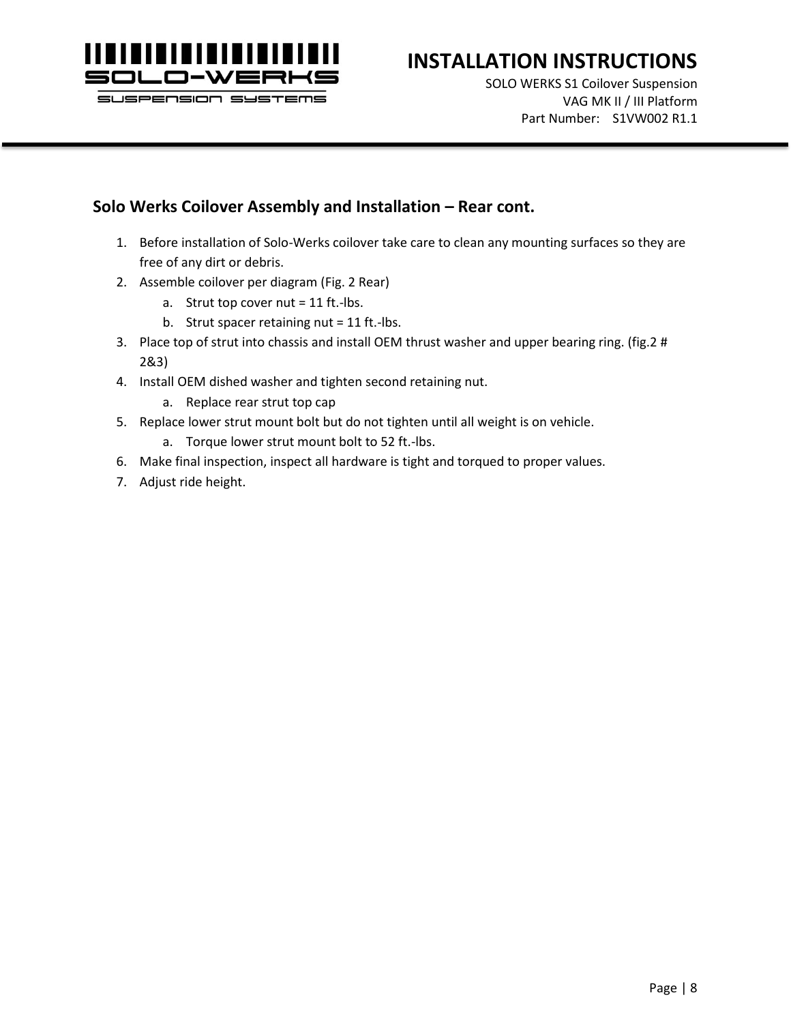

## **INSTALLATION INSTRUCTIONS**

SOLO WERKS S1 Coilover Suspension VAG MK II / III Platform Part Number: S1VW002 R1.1

### **Solo Werks Coilover Assembly and Installation – Rear cont.**

- 1. Before installation of Solo-Werks coilover take care to clean any mounting surfaces so they are free of any dirt or debris.
- 2. Assemble coilover per diagram (Fig. 2 Rear)
	- a. Strut top cover nut  $= 11$  ft.-lbs.
	- b. Strut spacer retaining nut = 11 ft.-lbs.
- 3. Place top of strut into chassis and install OEM thrust washer and upper bearing ring. (fig.2 # 2&3)
- 4. Install OEM dished washer and tighten second retaining nut.
	- a. Replace rear strut top cap
- 5. Replace lower strut mount bolt but do not tighten until all weight is on vehicle.
	- a. Torque lower strut mount bolt to 52 ft.-lbs.
- 6. Make final inspection, inspect all hardware is tight and torqued to proper values.
- 7. Adjust ride height.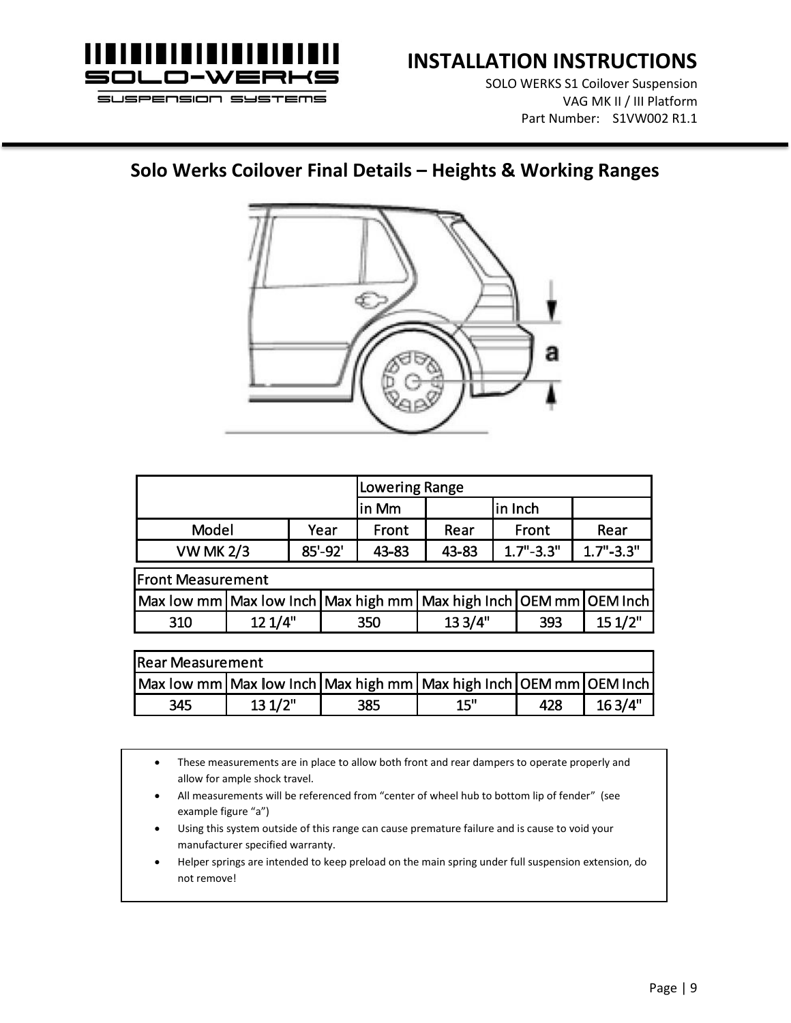

SOLO WERKS S1 Coilover Suspension VAG MK II / III Platform Part Number: S1VW002 R1.1

## **Solo Werks Coilover Final Details – Heights & Working Ranges**



|                                     |         |      | <b>Lowering Range</b> |       |         |          |               |                                   |
|-------------------------------------|---------|------|-----------------------|-------|---------|----------|---------------|-----------------------------------|
|                                     |         |      | in Mm                 |       |         | lin Inch |               |                                   |
| Model                               |         | Year |                       | Front | Rear    |          | <b>Front</b>  | Rear                              |
| <b>VW MK 2/3</b>                    |         |      | 85'-92'               | 43-83 | 43-83   |          | $1.7" - 3.3"$ | $1.7" - 3.3"$                     |
| <b>Front Measurement</b>            |         |      |                       |       |         |          |               |                                   |
| Max low mm Max low Inch Max high mm |         |      |                       |       |         |          |               | Max high Inch   OEM mm   OEM Inch |
| 310                                 | 12 1/4" |      |                       | 350   | 13 3/4" |          | 393           | 151/2"                            |
|                                     |         |      |                       |       |         |          |               |                                   |

| <b>Rear Measurement</b> |        |     |                                                                             |     |        |  |  |
|-------------------------|--------|-----|-----------------------------------------------------------------------------|-----|--------|--|--|
|                         |        |     | Max low mm   Max low Inch   Max high mm   Max high Inch   OEM mm   OEM Inch |     |        |  |  |
| 345                     | 131/2" | 385 | <b>15"</b>                                                                  | 428 | 163/4" |  |  |

- These measurements are in place to allow both front and rear dampers to operate properly and allow for ample shock travel.
- All measurements will be referenced from "center of wheel hub to bottom lip of fender" (see example figure "a")
- Using this system outside of this range can cause premature failure and is cause to void your manufacturer specified warranty.
- Helper springs are intended to keep preload on the main spring under full suspension extension, do not remove!